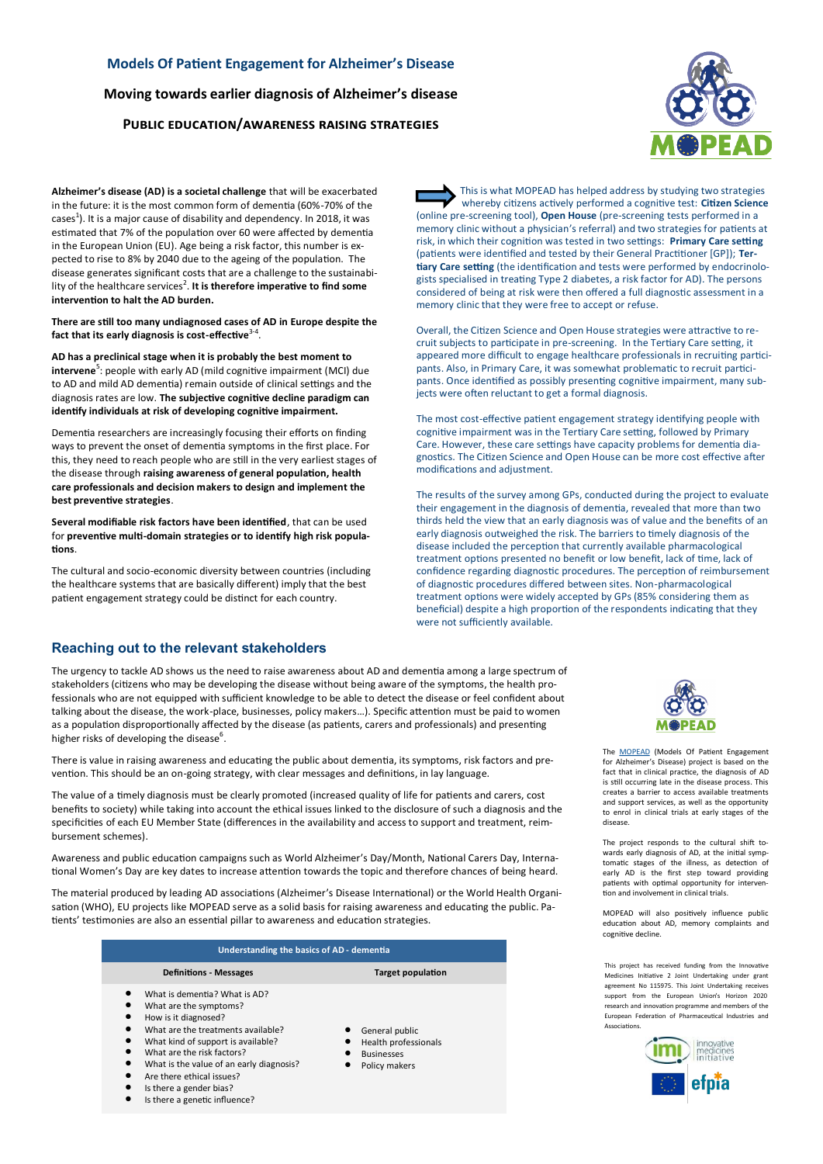## **Models Of Patient Engagement for Alzheimer's Disease**

**Moving towards earlier diagnosis of Alzheimer's disease** 

## **Public education/awareness raising strategies**



**Alzheimer's disease (AD) is a societal challenge** that will be exacerbated in the future: it is the most common form of dementia (60%-70% of the cases<sup>1</sup>). It is a major cause of disability and dependency. In 2018, it was estimated that 7% of the population over 60 were affected by dementia in the European Union (EU). Age being a risk factor, this number is expected to rise to 8% by 2040 due to the ageing of the population. The disease generates significant costs that are a challenge to the sustainability of the healthcare services<sup>2</sup>. It is therefore imperative to find some **intervention to halt the AD burden.**

**There are still too many undiagnosed cases of AD in Europe despite the fact that its early diagnosis is cost-effective**<sup>3</sup>-<sup>4</sup> .

**AD has a preclinical stage when it is probably the best moment to intervene**<sup>5</sup>: people with early AD (mild cognitive impairment (MCI) due to AD and mild AD dementia) remain outside of clinical settings and the diagnosis rates are low. **The subjective cognitive decline paradigm can identify individuals at risk of developing cognitive impairment.**

Dementia researchers are increasingly focusing their efforts on finding ways to prevent the onset of dementia symptoms in the first place. For this, they need to reach people who are still in the very earliest stages of the disease through **raising awareness of general population, health care professionals and decision makers to design and implement the best preventive strategies**.

**Several modifiable risk factors have been identified**, that can be used for **preventive multi-domain strategies or to identify high risk populations**.

The cultural and socio-economic diversity between countries (including the healthcare systems that are basically different) imply that the best patient engagement strategy could be distinct for each country.

## **Reaching out to the relevant stakeholders**

The urgency to tackle AD shows us the need to raise awareness about AD and dementia among a large spectrum of stakeholders (citizens who may be developing the disease without being aware of the symptoms, the health professionals who are not equipped with sufficient knowledge to be able to detect the disease or feel confident about talking about the disease, the work-place, businesses, policy makers…). Specific attention must be paid to women as a population disproportionally affected by the disease (as patients, carers and professionals) and presenting higher risks of developing the disease<sup>6</sup>.

There is value in raising awareness and educating the public about dementia, its symptoms, risk factors and prevention. This should be an on-going strategy, with clear messages and definitions, in lay language.

The value of a timely diagnosis must be clearly promoted (increased quality of life for patients and carers, cost benefits to society) while taking into account the ethical issues linked to the disclosure of such a diagnosis and the specificities of each EU Member State (differences in the availability and access to support and treatment, reimbursement schemes).

Awareness and public education campaigns such as World Alzheimer's Day/Month, National Carers Day, International Women's Day are key dates to increase attention towards the topic and therefore chances of being heard.

The material produced by leading AD associations (Alzheimer's Disease International) or the World Health Organisation (WHO), EU projects like MOPEAD serve as a solid basis for raising awareness and educating the public. Patients' testimonies are also an essential pillar to awareness and education strategies.

| Understanding the basics of AD - dementia                                                                                                                                                                                                                                                                                                                                                             |                                                                              |
|-------------------------------------------------------------------------------------------------------------------------------------------------------------------------------------------------------------------------------------------------------------------------------------------------------------------------------------------------------------------------------------------------------|------------------------------------------------------------------------------|
| <b>Definitions - Messages</b>                                                                                                                                                                                                                                                                                                                                                                         | <b>Target population</b>                                                     |
| What is dementia? What is AD?<br>$\bullet$<br>What are the symptoms?<br>$\bullet$<br>How is it diagnosed?<br>$\bullet$<br>What are the treatments available?<br>$\bullet$<br>What kind of support is available?<br>$\bullet$<br>What are the risk factors?<br>$\bullet$<br>What is the value of an early diagnosis?<br>$\bullet$<br>Are there ethical issues?<br>$\bullet$<br>Is there a gender bias? | General public<br>Health professionals<br><b>Businesses</b><br>Policy makers |

This is what MOPEAD has helped address by studying two strategies whereby citizens actively performed a cognitive test: **Citizen Science**  (online pre-screening tool), **Open House** (pre-screening tests performed in a memory clinic without a physician's referral) and two strategies for patients at risk, in which their cognition was tested in two settings: **Primary Care setting**  (patients were identified and tested by their General Practitioner [GP]); **Tertiary Care setting** (the identification and tests were performed by endocrinologists specialised in treating Type 2 diabetes, a risk factor for AD). The persons considered of being at risk were then offered a full diagnostic assessment in a memory clinic that they were free to accept or refuse.

Overall, the Citizen Science and Open House strategies were attractive to recruit subjects to participate in pre-screening. In the Tertiary Care setting, it appeared more difficult to engage healthcare professionals in recruiting participants. Also, in Primary Care, it was somewhat problematic to recruit participants. Once identified as possibly presenting cognitive impairment, many subjects were often reluctant to get a formal diagnosis.

The most cost-effective patient engagement strategy identifying people with cognitive impairment was in the Tertiary Care setting, followed by Primary Care. However, these care settings have capacity problems for dementia diagnostics. The Citizen Science and Open House can be more cost effective after modifications and adjustment.

The results of the survey among GPs, conducted during the project to evaluate their engagement in the diagnosis of dementia, revealed that more than two thirds held the view that an early diagnosis was of value and the benefits of an early diagnosis outweighed the risk. The barriers to timely diagnosis of the disease included the perception that currently available pharmacological treatment options presented no benefit or low benefit, lack of time, lack of confidence regarding diagnostic procedures. The perception of reimbursement of diagnostic procedures differed between sites. Non-pharmacological treatment options were widely accepted by GPs (85% considering them as beneficial) despite a high proportion of the respondents indicating that they were not sufficiently available.



The **[MOPEAD](https://www.mopead.eu/)** (Models Of Patient Engagement for Alzheimer's Disease) project is based on the fact that in clinical practice, the diagnosis of AD is still occurring late in the disease process. This creates a barrier to access available treatments and support services, as well as the opportunity to enrol in clinical trials at early stages of the disease.

The project responds to the cultural shift towards early diagnosis of AD, at the initial symptomatic stages of the illness, as detection of early AD is the first step toward providing patients with optimal opportunity for intervention and involvement in clinical trials.

MOPEAD will also positively influence public education about AD, memory complaints and cognitive decline.

This project has received funding from the Innovative Medicines Initiative 2 Joint Undertaking under grant agreement No 115975. This Joint Undertaking receives support from the European Union's Horizon 2020 research and innovation programme and members of the European Federation of Pharmaceutical Industries and Associations.

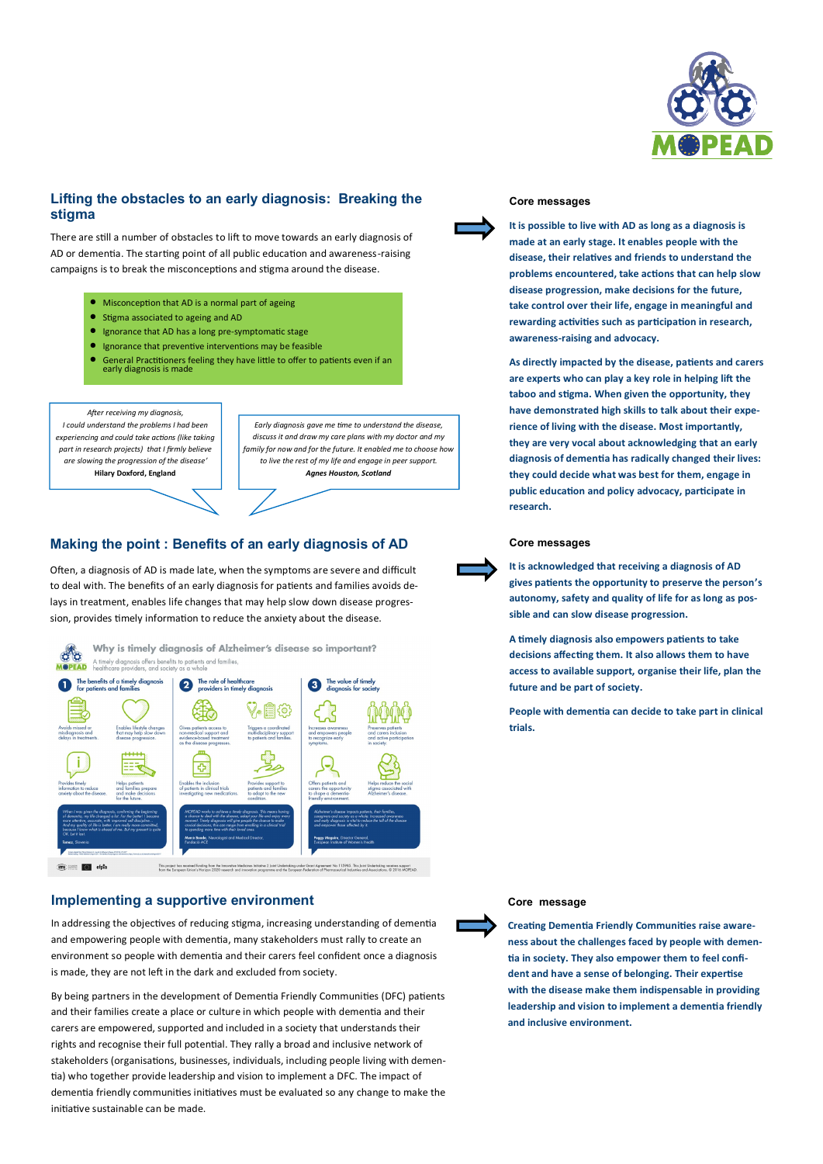

# **Lifting the obstacles to an early diagnosis: Breaking the stigma**

There are still a number of obstacles to lift to move towards an early diagnosis of AD or dementia. The starting point of all public education and awareness-raising campaigns is to break the misconceptions and stigma around the disease.

- Misconception that AD is a normal part of ageing
- Stigma associated to ageing and AD
- Ignorance that AD has a long pre-symptomatic stage
- Ignorance that preventive interventions may be feasible
- General Practitioners feeling they have little to offer to patients even if an early diagnosis is made

*After receiving my diagnosis, I could understand the problems I had been experiencing and could take actions (like taking*  part in research projects) that I firmly believe *are slowing the progression of the disease'* **Hilary Doxford, England**

*Early diagnosis gave me time to understand the disease, discuss it and draw my care plans with my doctor and my family for now and for the future. It enabled me to choose how to live the rest of my life and engage in peer support. Agnes Houston, Scotland*

# **Making the point : Benefits of an early diagnosis of AD**

Often, a diagnosis of AD is made late, when the symptoms are severe and difficult to deal with. The benefits of an early diagnosis for patients and families avoids delays in treatment, enables life changes that may help slow down disease progression, provides timely information to reduce the anxiety about the disease.



## **Implementing a supportive environment**

In addressing the objectives of reducing stigma, increasing understanding of dementia and empowering people with dementia, many stakeholders must rally to create an environment so people with dementia and their carers feel confident once a diagnosis is made, they are not left in the dark and excluded from society.

By being partners in the development of Dementia Friendly Communities (DFC) patients and their families create a place or culture in which people with dementia and their carers are empowered, supported and included in a society that understands their rights and recognise their full potential. They rally a broad and inclusive network of stakeholders (organisations, businesses, individuals, including people living with dementia) who together provide leadership and vision to implement a DFC. The impact of dementia friendly communities initiatives must be evaluated so any change to make the initiative sustainable can be made.



## **Core messages**

**It is possible to live with AD as long as a diagnosis is made at an early stage. It enables people with the disease, their relatives and friends to understand the problems encountered, take actions that can help slow disease progression, make decisions for the future, take control over their life, engage in meaningful and rewarding activities such as participation in research, awareness-raising and advocacy.**

**As directly impacted by the disease, patients and carers are experts who can play a key role in helping lift the taboo and stigma. When given the opportunity, they have demonstrated high skills to talk about their experience of living with the disease. Most importantly, they are very vocal about acknowledging that an early diagnosis of dementia has radically changed their lives: they could decide what was best for them, engage in public education and policy advocacy, participate in research.** 

### **Core messages**

**It is acknowledged that receiving a diagnosis of AD gives patients the opportunity to preserve the person's autonomy, safety and quality of life for as long as possible and can slow disease progression.**

**A timely diagnosis also empowers patients to take decisions affecting them. It also allows them to have access to available support, organise their life, plan the future and be part of society.**

**People with dementia can decide to take part in clinical trials.**

### **Core message**

**Creating Dementia Friendly Communities raise awareness about the challenges faced by people with dementia in society. They also empower them to feel confident and have a sense of belonging. Their expertise with the disease make them indispensable in providing leadership and vision to implement a dementia friendly and inclusive environment.**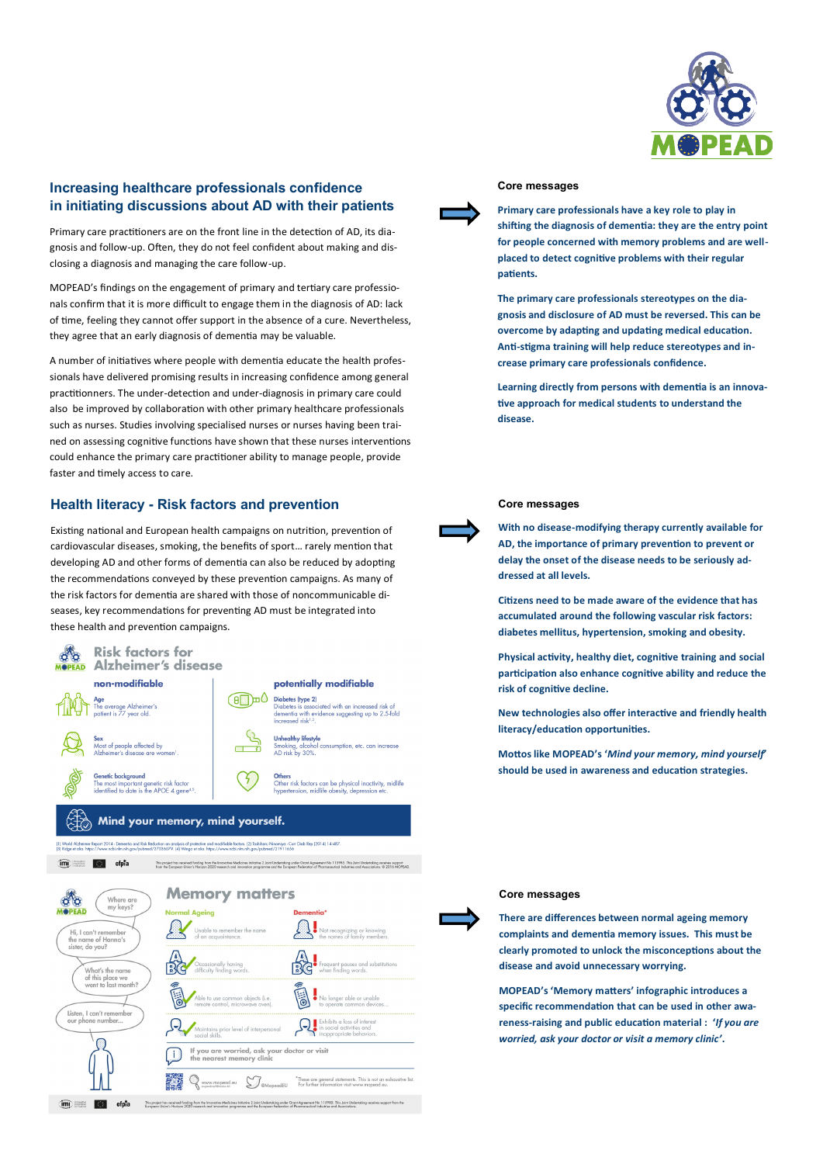

# **Increasing healthcare professionals confidence in initiating discussions about AD with their patients**

Primary care practitioners are on the front line in the detection of AD, its diagnosis and follow-up. Often, they do not feel confident about making and disclosing a diagnosis and managing the care follow-up.

MOPEAD's findings on the engagement of primary and tertiary care professionals confirm that it is more difficult to engage them in the diagnosis of AD: lack of time, feeling they cannot offer support in the absence of a cure. Nevertheless, they agree that an early diagnosis of dementia may be valuable.

A number of initiatives where people with dementia educate the health professionals have delivered promising results in increasing confidence among general practitionners. The under-detection and under-diagnosis in primary care could also be improved by collaboration with other primary healthcare professionals such as nurses. Studies involving specialised nurses or nurses having been trained on assessing cognitive functions have shown that these nurses interventions could enhance the primary care practitioner ability to manage people, provide faster and timely access to care.

## **Health literacy - Risk factors and prevention**

Existing national and European health campaigns on nutrition, prevention of cardiovascular diseases, smoking, the benefits of sport… rarely mention that developing AD and other forms of dementia can also be reduced by adopting the recommendations conveyed by these prevention campaigns. As many of the risk factors for dementia are shared with those of noncommunicable diseases, key recommendations for preventing AD must be integrated into these health and prevention campaigns.



-<br>This project has received funding from the Innovative Medicines Initiative 2 Joint Understaling under Grant Agreement No. 115985. This Joint Undertaking receives support from the<br>European Union's Horizon 2020 research an

im **Fill** efota

#### **Core messages**

**Primary care professionals have a key role to play in shifting the diagnosis of dementia: they are the entry point for people concerned with memory problems and are wellplaced to detect cognitive problems with their regular patients.** 

**The primary care professionals stereotypes on the diagnosis and disclosure of AD must be reversed. This can be overcome by adapting and updating medical education. Anti-stigma training will help reduce stereotypes and increase primary care professionals confidence.**

**Learning directly from persons with dementia is an innovative approach for medical students to understand the disease.**

### **Core messages**

**With no disease-modifying therapy currently available for AD, the importance of primary prevention to prevent or delay the onset of the disease needs to be seriously addressed at all levels.** 

**Citizens need to be made aware of the evidence that has accumulated around the following vascular risk factors: diabetes mellitus, hypertension, smoking and obesity.** 

**Physical activity, healthy diet, cognitive training and social participation also enhance cognitive ability and reduce the risk of cognitive decline.** 

**New technologies also offer interactive and friendly health literacy/education opportunities.** 

**Mottos like MOPEAD's '***Mind your memory, mind yourself'* **should be used in awareness and education strategies.**

#### **Core messages**

**There are differences between normal ageing memory complaints and dementia memory issues. This must be clearly promoted to unlock the misconceptions about the disease and avoid unnecessary worrying.** 

**MOPEAD's 'Memory matters' infographic introduces a specific recommendation that can be used in other awareness-raising and public education material : '***If you are worried, ask your doctor or visit a memory clinic'***.**